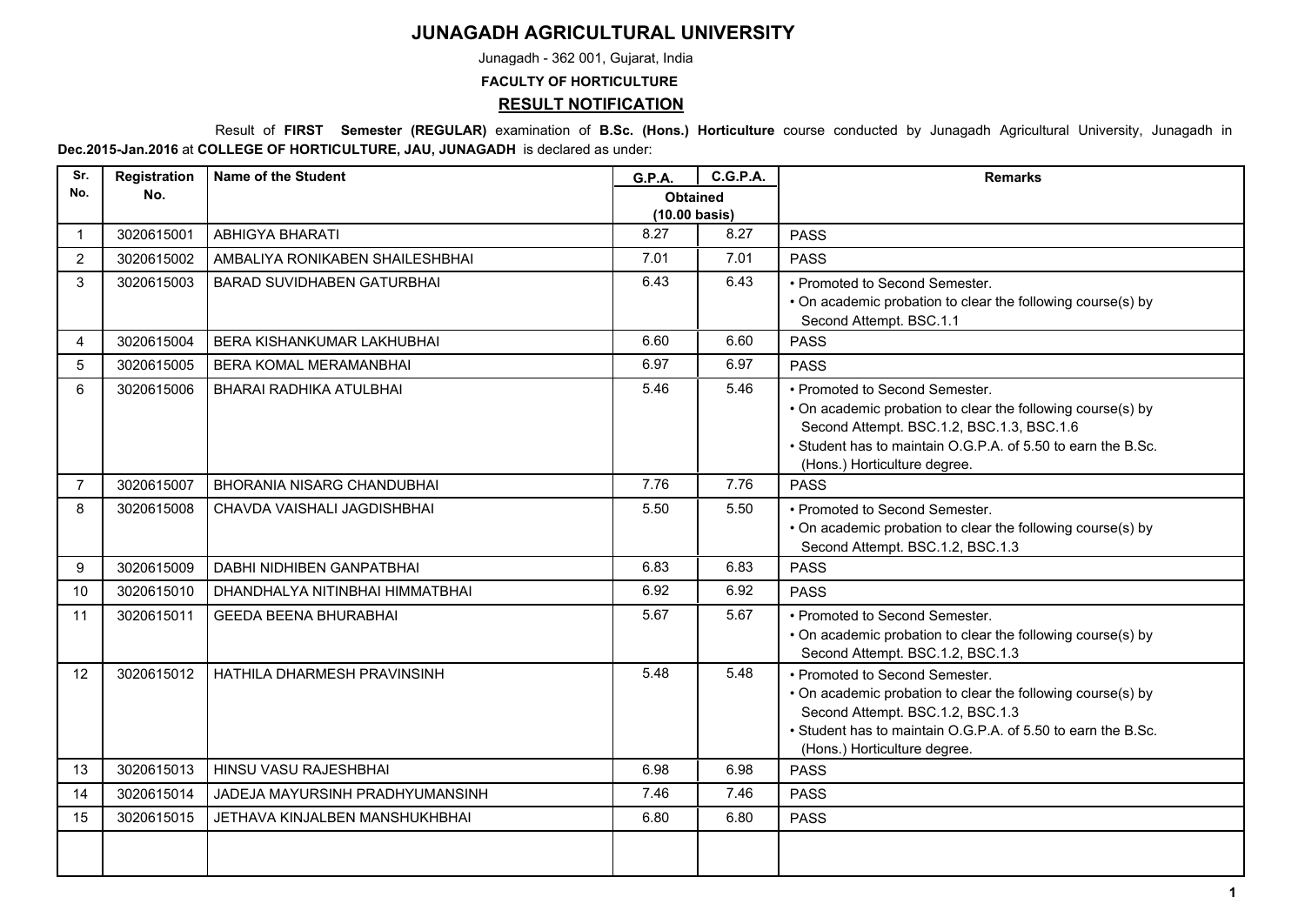## **JUNAGADH AGRICULTURAL UNIVERSITY**

Junagadh - 362 001, Gujarat, India

**FACULTY OF HORTICULTURE**

## **RESULT NOTIFICATION**

 Result of **FIRST Semester (REGULAR)** examination of **B.Sc. (Hons.) Horticulture** course conducted by Junagadh Agricultural University, Junagadh in **Dec.2015-Jan.2016** at **COLLEGE OF HORTICULTURE, JAU, JUNAGADH** is declared as under:

| Sr.            | Registration | <b>Name of the Student</b>        | <b>G.P.A.</b>                              | <b>C.G.P.A.</b> | <b>Remarks</b>                                                                                                                                                                                                                             |
|----------------|--------------|-----------------------------------|--------------------------------------------|-----------------|--------------------------------------------------------------------------------------------------------------------------------------------------------------------------------------------------------------------------------------------|
| No.            | No.          |                                   | <b>Obtained</b><br>$(10.00 \text{ basis})$ |                 |                                                                                                                                                                                                                                            |
| $\mathbf{1}$   | 3020615001   | <b>ABHIGYA BHARATI</b>            | 8.27                                       | 8.27            | <b>PASS</b>                                                                                                                                                                                                                                |
| $\overline{2}$ | 3020615002   | AMBALIYA RONIKABEN SHAILESHBHAI   | 7.01                                       | 7.01            | <b>PASS</b>                                                                                                                                                                                                                                |
| 3              | 3020615003   | <b>BARAD SUVIDHABEN GATURBHAI</b> | 6.43                                       | 6.43            | • Promoted to Second Semester.<br>• On academic probation to clear the following course(s) by<br>Second Attempt. BSC.1.1                                                                                                                   |
| 4              | 3020615004   | <b>BERA KISHANKUMAR LAKHUBHAI</b> | 6.60                                       | 6.60            | PASS                                                                                                                                                                                                                                       |
| 5              | 3020615005   | BERA KOMAL MERAMANBHAI            | 6.97                                       | 6.97            | <b>PASS</b>                                                                                                                                                                                                                                |
| 6              | 3020615006   | BHARAI RADHIKA ATULBHAI           | 5.46                                       | 5.46            | • Promoted to Second Semester.<br>• On academic probation to clear the following course(s) by<br>Second Attempt. BSC.1.2, BSC.1.3, BSC.1.6<br>• Student has to maintain O.G.P.A. of 5.50 to earn the B.Sc.<br>(Hons.) Horticulture degree. |
| $\overline{7}$ | 3020615007   | <b>BHORANIA NISARG CHANDUBHAI</b> | 7.76                                       | 7.76            | <b>PASS</b>                                                                                                                                                                                                                                |
| 8              | 3020615008   | CHAVDA VAISHALI JAGDISHBHAI       | 5.50                                       | 5.50            | • Promoted to Second Semester.<br>• On academic probation to clear the following course(s) by<br>Second Attempt. BSC.1.2, BSC.1.3                                                                                                          |
| 9              | 3020615009   | DABHI NIDHIBEN GANPATBHAI         | 6.83                                       | 6.83            | <b>PASS</b>                                                                                                                                                                                                                                |
| 10             | 3020615010   | DHANDHALYA NITINBHAI HIMMATBHAI   | 6.92                                       | 6.92            | <b>PASS</b>                                                                                                                                                                                                                                |
| 11             | 3020615011   | <b>GEEDA BEENA BHURABHAI</b>      | 5.67                                       | 5.67            | • Promoted to Second Semester.<br>• On academic probation to clear the following course(s) by<br>Second Attempt. BSC.1.2, BSC.1.3                                                                                                          |
| 12             | 3020615012   | HATHILA DHARMESH PRAVINSINH       | 5.48                                       | 5.48            | • Promoted to Second Semester.<br>• On academic probation to clear the following course(s) by<br>Second Attempt. BSC.1.2, BSC.1.3<br>• Student has to maintain O.G.P.A. of 5.50 to earn the B.Sc.<br>(Hons.) Horticulture degree.          |
| 13             | 3020615013   | HINSU VASU RAJESHBHAI             | 6.98                                       | 6.98            | <b>PASS</b>                                                                                                                                                                                                                                |
| 14             | 3020615014   | JADEJA MAYURSINH PRADHYUMANSINH   | 7.46                                       | 7.46            | <b>PASS</b>                                                                                                                                                                                                                                |
| 15             | 3020615015   | JETHAVA KINJALBEN MANSHUKHBHAI    | 6.80                                       | 6.80            | <b>PASS</b>                                                                                                                                                                                                                                |
|                |              |                                   |                                            |                 |                                                                                                                                                                                                                                            |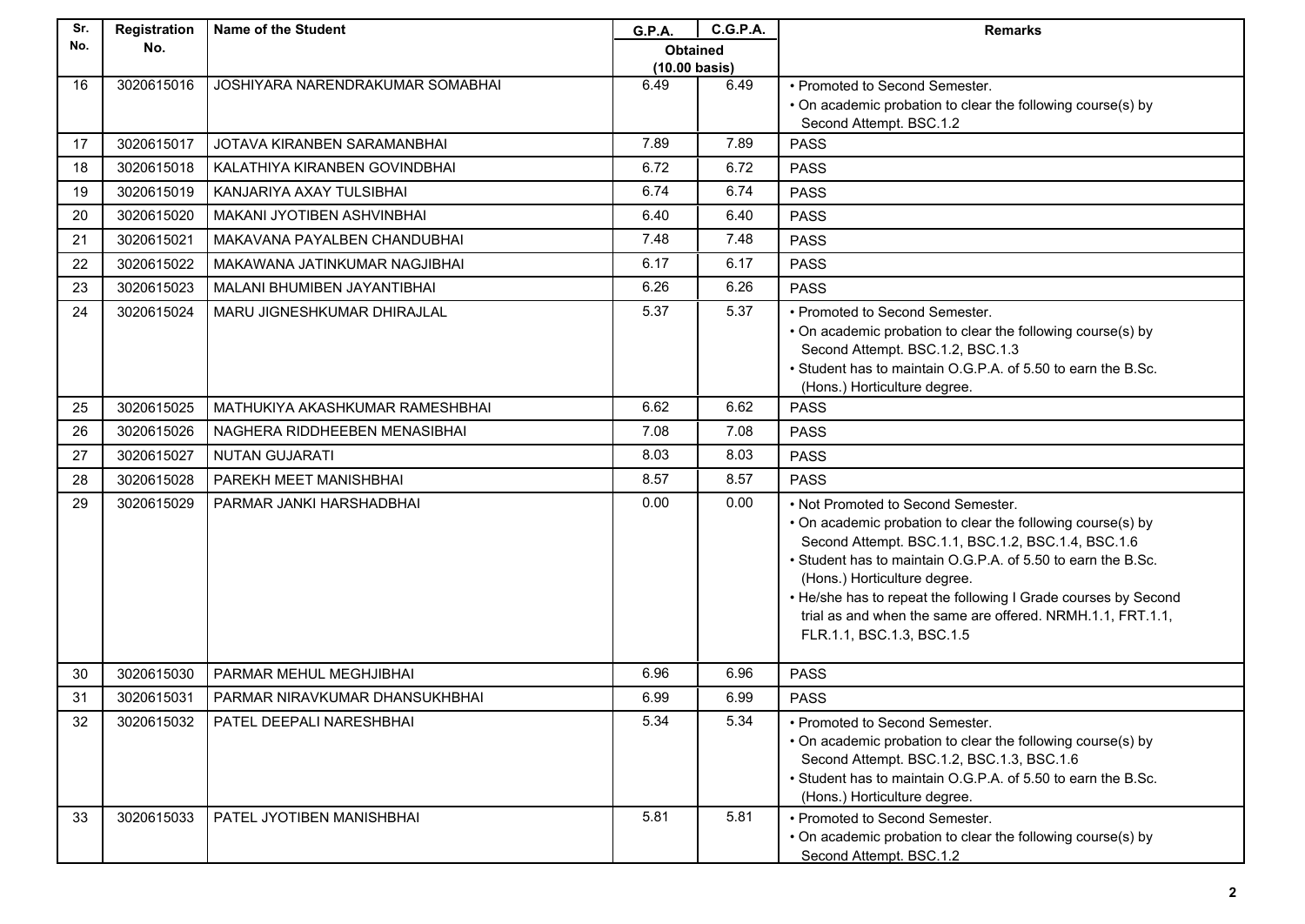| Sr. | Registration | Name of the Student               | G.P.A.                                  | <b>C.G.P.A.</b> | <b>Remarks</b>                                                                                                                                                                                                                                                                                                                                                                                                       |
|-----|--------------|-----------------------------------|-----------------------------------------|-----------------|----------------------------------------------------------------------------------------------------------------------------------------------------------------------------------------------------------------------------------------------------------------------------------------------------------------------------------------------------------------------------------------------------------------------|
| No. | No.          |                                   | <b>Obtained</b>                         |                 |                                                                                                                                                                                                                                                                                                                                                                                                                      |
| 16  | 3020615016   | JOSHIYARA NARENDRAKUMAR SOMABHAI  | $(10.00 \text{ basis})$<br>6.49<br>6.49 |                 | • Promoted to Second Semester.                                                                                                                                                                                                                                                                                                                                                                                       |
|     |              |                                   |                                         |                 | • On academic probation to clear the following course(s) by                                                                                                                                                                                                                                                                                                                                                          |
|     |              |                                   |                                         |                 | Second Attempt. BSC.1.2                                                                                                                                                                                                                                                                                                                                                                                              |
| 17  | 3020615017   | JOTAVA KIRANBEN SARAMANBHAI       | 7.89                                    | 7.89            | <b>PASS</b>                                                                                                                                                                                                                                                                                                                                                                                                          |
| 18  | 3020615018   | KALATHIYA KIRANBEN GOVINDBHAI     | 6.72                                    | 6.72            | <b>PASS</b>                                                                                                                                                                                                                                                                                                                                                                                                          |
| 19  | 3020615019   | KANJARIYA AXAY TULSIBHAI          | 6.74                                    | 6.74            | <b>PASS</b>                                                                                                                                                                                                                                                                                                                                                                                                          |
| 20  | 3020615020   | <b>MAKANI JYOTIBEN ASHVINBHAI</b> | 6.40                                    | 6.40            | <b>PASS</b>                                                                                                                                                                                                                                                                                                                                                                                                          |
| 21  | 3020615021   | MAKAVANA PAYALBEN CHANDUBHAI      | 7.48                                    | 7.48            | <b>PASS</b>                                                                                                                                                                                                                                                                                                                                                                                                          |
| 22  | 3020615022   | MAKAWANA JATINKUMAR NAGJIBHAI     | 6.17                                    | 6.17            | <b>PASS</b>                                                                                                                                                                                                                                                                                                                                                                                                          |
| 23  | 3020615023   | MALANI BHUMIBEN JAYANTIBHAI       | 6.26                                    | 6.26            | <b>PASS</b>                                                                                                                                                                                                                                                                                                                                                                                                          |
| 24  | 3020615024   | MARU JIGNESHKUMAR DHIRAJLAL       | 5.37                                    | 5.37            | • Promoted to Second Semester.<br>• On academic probation to clear the following course(s) by<br>Second Attempt. BSC.1.2, BSC.1.3<br>• Student has to maintain O.G.P.A. of 5.50 to earn the B.Sc.<br>(Hons.) Horticulture degree.                                                                                                                                                                                    |
| 25  | 3020615025   | MATHUKIYA AKASHKUMAR RAMESHBHAI   | 6.62                                    | 6.62            | <b>PASS</b>                                                                                                                                                                                                                                                                                                                                                                                                          |
| 26  | 3020615026   | NAGHERA RIDDHEEBEN MENASIBHAI     | 7.08                                    | 7.08            | <b>PASS</b>                                                                                                                                                                                                                                                                                                                                                                                                          |
| 27  | 3020615027   | <b>NUTAN GUJARATI</b>             | 8.03                                    | 8.03            | <b>PASS</b>                                                                                                                                                                                                                                                                                                                                                                                                          |
| 28  | 3020615028   | PAREKH MEET MANISHBHAI            | 8.57                                    | 8.57            | <b>PASS</b>                                                                                                                                                                                                                                                                                                                                                                                                          |
| 29  | 3020615029   | PARMAR JANKI HARSHADBHAI          | 0.00                                    | 0.00            | • Not Promoted to Second Semester.<br>• On academic probation to clear the following course(s) by<br>Second Attempt. BSC.1.1, BSC.1.2, BSC.1.4, BSC.1.6<br>• Student has to maintain O.G.P.A. of 5.50 to earn the B.Sc.<br>(Hons.) Horticulture degree.<br>• He/she has to repeat the following I Grade courses by Second<br>trial as and when the same are offered. NRMH.1.1, FRT.1.1,<br>FLR.1.1, BSC.1.3, BSC.1.5 |
| 30  | 3020615030   | PARMAR MEHUL MEGHJIBHAI           | 6.96                                    | 6.96            | <b>PASS</b>                                                                                                                                                                                                                                                                                                                                                                                                          |
| 31  | 3020615031   | PARMAR NIRAVKUMAR DHANSUKHBHAI    | 6.99                                    | 6.99            | <b>PASS</b>                                                                                                                                                                                                                                                                                                                                                                                                          |
| 32  | 3020615032   | PATEL DEEPALI NARESHBHAI          | 5.34                                    | 5.34            | • Promoted to Second Semester.<br>• On academic probation to clear the following course(s) by<br>Second Attempt. BSC.1.2, BSC.1.3, BSC.1.6<br>• Student has to maintain O.G.P.A. of 5.50 to earn the B.Sc.<br>(Hons.) Horticulture degree.                                                                                                                                                                           |
| 33  | 3020615033   | PATEL JYOTIBEN MANISHBHAI         | 5.81                                    | 5.81            | • Promoted to Second Semester.<br>• On academic probation to clear the following course(s) by<br>Second Attempt. BSC.1.2                                                                                                                                                                                                                                                                                             |